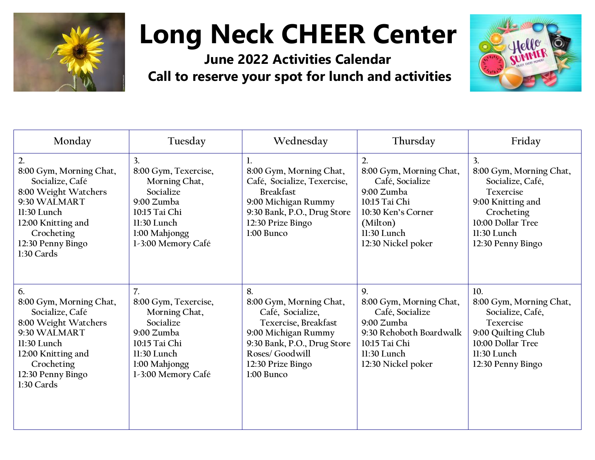

## **Long Neck CHEER Center**

**June 2022 Activities Calendar Call to reserve your spot for lunch and activities**



| Monday                                                                                                                                                                                       | Tuesday                                                                                                                                                     | Wednesday                                                                                                                                                                             | Thursday                                                                                                                                               | Friday                                                                                                                                                     |
|----------------------------------------------------------------------------------------------------------------------------------------------------------------------------------------------|-------------------------------------------------------------------------------------------------------------------------------------------------------------|---------------------------------------------------------------------------------------------------------------------------------------------------------------------------------------|--------------------------------------------------------------------------------------------------------------------------------------------------------|------------------------------------------------------------------------------------------------------------------------------------------------------------|
| $\overline{2}$ .<br>8:00 Gym, Morning Chat,<br>Socialize, Café<br>8:00 Weight Watchers<br>9:30 WALMART<br>11:30 Lunch<br>12:00 Knitting and<br>Crocheting<br>12:30 Penny Bingo<br>1:30 Cards | $\overline{3}$ .<br>8:00 Gym, Texercise,<br>Morning Chat,<br>Socialize<br>9:00 Zumba<br>10:15 Tai Chi<br>11:30 Lunch<br>1:00 Mahjongg<br>1-3:00 Memory Café | 8:00 Gym, Morning Chat,<br>Café, Socialize, Texercise,<br><b>Breakfast</b><br>9:00 Michigan Rummy<br>9:30 Bank, P.O., Drug Store<br>12:30 Prize Bingo<br>$1:00$ Bunco                 | 2.<br>8:00 Gym, Morning Chat,<br>Café, Socialize<br>9:00 Zumba<br>10:15 Tai Chi<br>10:30 Ken's Corner<br>(Milton)<br>11:30 Lunch<br>12:30 Nickel poker | 3.<br>8:00 Gym, Morning Chat,<br>Socialize, Café,<br>Texercise<br>9:00 Knitting and<br>Crocheting<br>10:00 Dollar Tree<br>11:30 Lunch<br>12:30 Penny Bingo |
| 6.<br>8:00 Gym, Morning Chat,<br>Socialize, Café<br>8:00 Weight Watchers<br>9:30 WALMART<br>11:30 Lunch<br>12:00 Knitting and<br>Crocheting<br>12:30 Penny Bingo<br>1:30 Cards               | 7.<br>8:00 Gym, Texercise,<br>Morning Chat,<br>Socialize<br>9:00 Zumba<br>10:15 Tai Chi<br>11:30 Lunch<br>1:00 Mahjongg<br>1-3:00 Memory Café               | 8.<br>8:00 Gym, Morning Chat,<br>Café, Socialize,<br>Texercise, Breakfast<br>9:00 Michigan Rummy<br>9:30 Bank, P.O., Drug Store<br>Roses/ Goodwill<br>12:30 Prize Bingo<br>1:00 Bunco | 9.<br>8:00 Gym, Morning Chat,<br>Café, Socialize<br>9:00 Zumba<br>9:30 Rehoboth Boardwalk<br>10:15 Tai Chi<br>11:30 Lunch<br>12:30 Nickel poker        | 10.<br>8:00 Gym, Morning Chat,<br>Socialize, Café,<br>Texercise<br>9:00 Quilting Club<br>10:00 Dollar Tree<br>11:30 Lunch<br>12:30 Penny Bingo             |